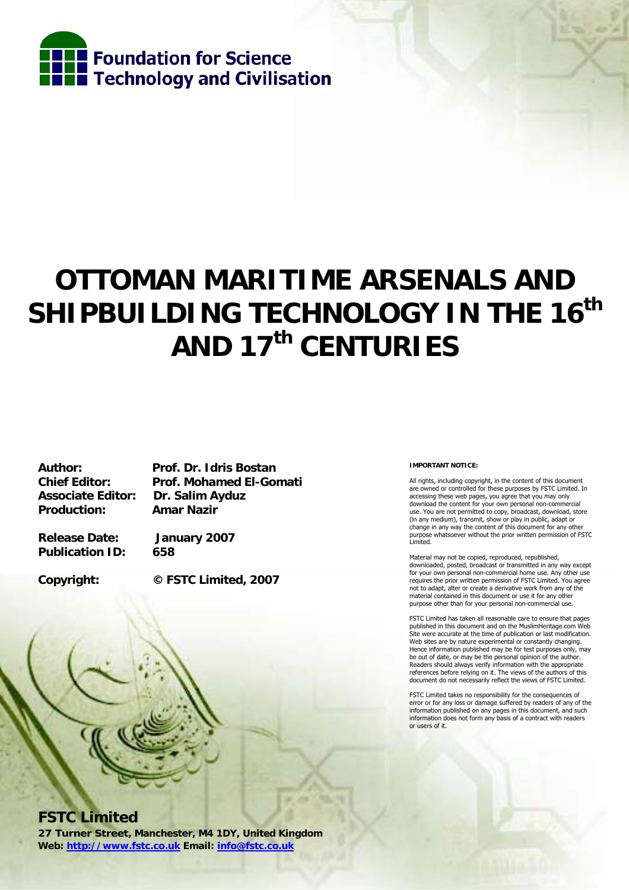

# **OTTOMAN MARITIME ARSENALS AND SHIPBUILDING TECHNOLOGY IN THE 16<sup>th</sup> AND 17th CENTURIES**

**Associate Editor: Dr. Salim Ayduz Production: Amar Nazir** 

**Author: Prof. Dr. Idris Bostan Chief Editor: Prof. Mohamed El-Gomati** 

**Release Date: January 2007 Publication ID: 658** 

**Copyright: © FSTC Limited, 2007** 

**FSTC Limited** 

**27 Turner Street, Manchester, M4 1DY, United Kingdom Web: http://www.fstc.co.uk Email: info@fstc.co.uk**

#### **IMPORTANT NOTICE:**

All rights, including copyright, in the content of this document are owned or controlled for these purposes by FSTC Limited. In accessing these web pages, you agree that you may only download the content for your own personal non-commercial use. You are not permitted to copy, broadcast, download, store (in any medium), transmit, show or play in public, adapt or change in any way the content of this document for any other purpose whatsoever without the prior written permission of FSTC Limited.

Material may not be copied, reproduced, republished, downloaded, posted, broadcast or transmitted in any way except for your own personal non-commercial home use. Any other use requires the prior written permission of FSTC Limited. You agree not to adapt, alter or create a derivative work from any of the material contained in this document or use it for any other purpose other than for your personal non-commercial use.

FSTC Limited has taken all reasonable care to ensure that pages published in this document and on the MuslimHeritage.com Web Site were accurate at the time of publication or last modification. Web sites are by nature experimental or constantly changing. Hence information published may be for test purposes only, may be out of date, or may be the personal opinion of the author. Readers should always verify information with the appropriate references before relying on it. The views of the authors of this document do not necessarily reflect the views of FSTC Limited.

FSTC Limited takes no responsibility for the consequences of error or for any loss or damage suffered by readers of any of the information published on any pages in this document, and such information does not form any basis of a contract with readers or users of it.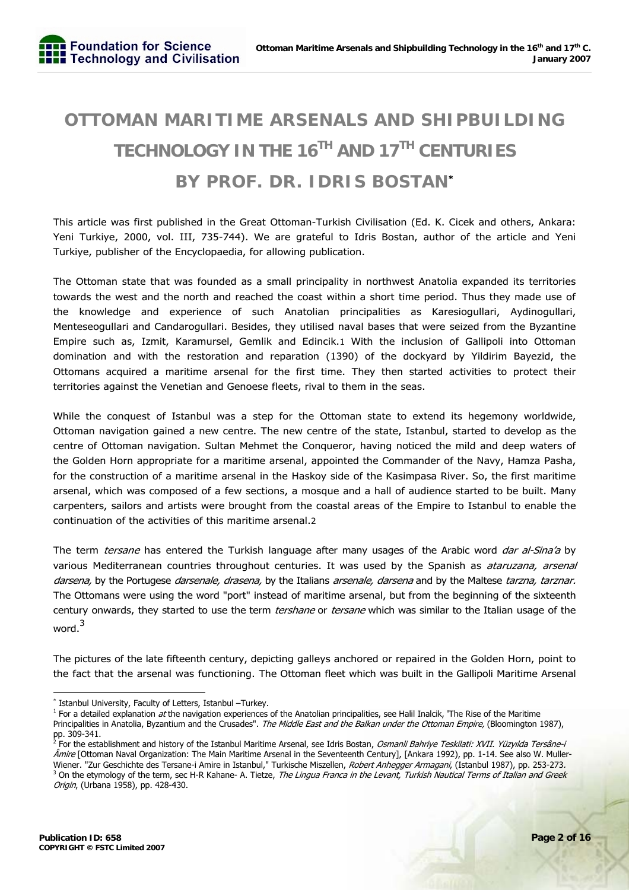## **OTTOMAN MARITIME ARSENALS AND SHIPBUILDING TECHNOLOGY IN THE 16TH AND 17TH CENTURIES BY PROF. DR. IDRIS BOSTAN\***

This article was first published in the Great Ottoman-Turkish Civilisation (Ed. K. Cicek and others, Ankara: Yeni Turkiye, 2000, vol. III, 735-744). We are grateful to Idris Bostan, author of the article and Yeni Turkiye, publisher of the Encyclopaedia, for allowing publication.

The Ottoman state that was founded as a small principality in northwest Anatolia expanded its territories towards the west and the north and reached the coast within a short time period. Thus they made use of the knowledge and experience of such Anatolian principalities as Karesiogullari, Aydinogullari, Menteseogullari and Candarogullari. Besides, they utilised naval bases that were seized from the Byzantine Empire such as, Izmit, Karamursel, Gemlik and Edincik.1 With the inclusion of Gallipoli into Ottoman domination and with the restoration and reparation (1390) of the dockyard by Yildirim Bayezid, the Ottomans acquired a maritime arsenal for the first time. They then started activities to protect their territories against the Venetian and Genoese fleets, rival to them in the seas.

While the conquest of Istanbul was a step for the Ottoman state to extend its hegemony worldwide, Ottoman navigation gained a new centre. The new centre of the state, Istanbul, started to develop as the centre of Ottoman navigation. Sultan Mehmet the Conqueror, having noticed the mild and deep waters of the Golden Horn appropriate for a maritime arsenal, appointed the Commander of the Navy, Hamza Pasha, for the construction of a maritime arsenal in the Haskoy side of the Kasimpasa River. So, the first maritime arsenal, which was composed of a few sections, a mosque and a hall of audience started to be built. Many carpenters, sailors and artists were brought from the coastal areas of the Empire to Istanbul to enable the continuation of the activities of this maritime arsenal.2

The term *tersane* has entered the Turkish language after many usages of the Arabic word *dar al-Sina'a* by various Mediterranean countries throughout centuries. It was used by the Spanish as *ataruzana, arsenal* darsena, by the Portugese darsenale, drasena, by the Italians arsenale, darsena and by the Maltese tarzna, tarznar. The Ottomans were using the word "port" instead of maritime arsenal, but from the beginning of the sixteenth century onwards, they started to use the term *tershane* or *tersane* which was similar to the Italian usage of the word<sup>3</sup>

The pictures of the late fifteenth century, depicting galleys anchored or repaired in the Golden Horn, point to the fact that the arsenal was functioning. The Ottoman fleet which was built in the Gallipoli Maritime Arsenal

<sup>\*</sup> Istanbul University, Faculty of Letters, Istanbul –Turkey.

<sup>&</sup>lt;sup>1</sup> For a detailed explanation *at* the navigation experiences of the Anatolian principalities, see Halil Inalcik, 'The Rise of the Maritime Principalities in Anatolia, Byzantium and the Crusades". The Middle East and the Balkan under the Ottoman Empire, (Bloomington 1987), pp. 309-341.

<sup>&</sup>lt;sup>2</sup> For the establishment and history of the Istanbul Maritime Arsenal, see Idris Bostan, *Osmanli Bahriye Teskilati: XVII. Yüzyılda Tersâne-i* Âmire [Ottoman Naval Organization: The Main Maritime Arsenal in the Seventeenth Century], [Ankara 1992), pp. 1-14. See also W. Muller-Wiener. "Zur Geschichte des Tersane-i Amire in Istanbul," Turkische Miszellen, Robert Anhegger Armagani, (Istanbul 1987), pp. 253-273.

<sup>&</sup>lt;sup>3</sup> On the etymology of the term, sec H-R Kahane- A. Tietze, *The Lingua Franca in the Levant, Turkish Nautical Terms of Italian and Greek* Origin, (Urbana 1958), pp. 428-430.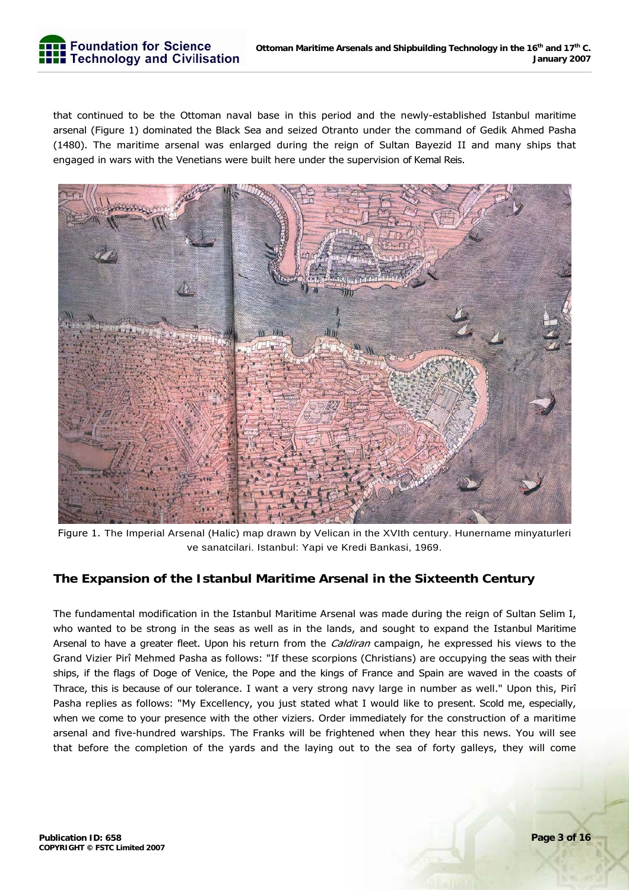that continued to be the Ottoman naval base in this period and the newly-established Istanbul maritime arsenal (Figure 1) dominated the Black Sea and seized Otranto under the command of Gedik Ahmed Pasha (1480). The maritime arsenal was enlarged during the reign of Sultan Bayezid II and many ships that engaged in wars with the Venetians were built here under the supervision of Kemal Reis.



Figure 1. The Imperial Arsenal (Halic) map drawn by Velican in the XVIth century. Hunername minyaturleri ve sanatcilari. Istanbul: Yapi ve Kredi Bankasi, 1969.

#### **The Expansion of the Istanbul Maritime Arsenal in the Sixteenth Century**

The fundamental modification in the Istanbul Maritime Arsenal was made during the reign of Sultan Selim I, who wanted to be strong in the seas as well as in the lands, and sought to expand the Istanbul Maritime Arsenal to have a greater fleet. Upon his return from the *Caldiran* campaign, he expressed his views to the Grand Vizier Pirî Mehmed Pasha as follows: "If these scorpions (Christians) are occupying the seas with their ships, if the flags of Doge of Venice, the Pope and the kings of France and Spain are waved in the coasts of Thrace, this is because of our tolerance. I want a very strong navy large in number as well." Upon this, Pirî Pasha replies as follows: "My Excellency, you just stated what I would like to present. Scold me, especially, when we come to your presence with the other viziers. Order immediately for the construction of a maritime arsenal and five-hundred warships. The Franks will be frightened when they hear this news. You will see that before the completion of the yards and the laying out to the sea of forty galleys, they will come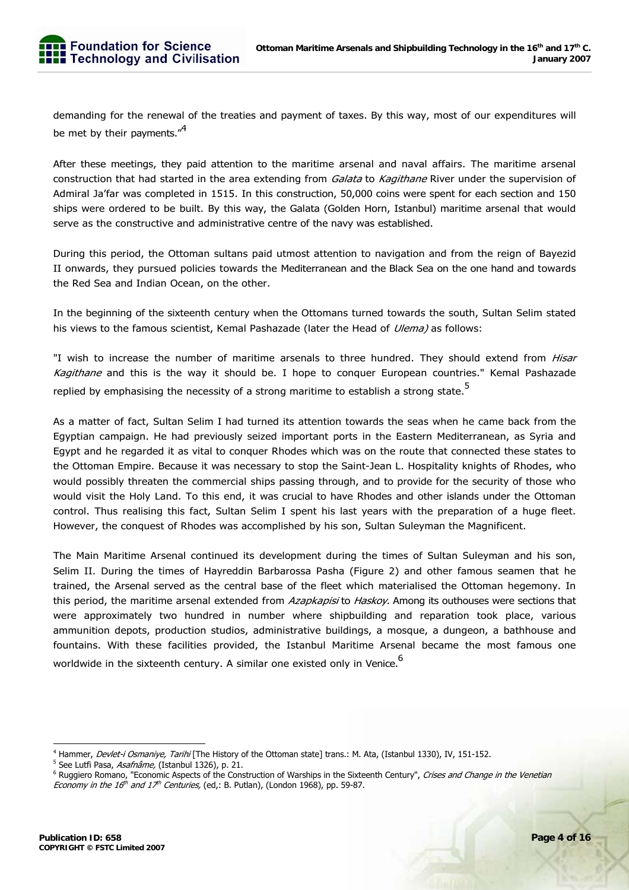Foundation for Science **E.E.** Technology and Civilisation

demanding for the renewal of the treaties and payment of taxes. By this way, most of our expenditures will be met by their payments."<sup>4</sup>

After these meetings, they paid attention to the maritime arsenal and naval affairs. The maritime arsenal construction that had started in the area extending from Galata to Kagithane River under the supervision of Admiral Ja'far was completed in 1515. In this construction, 50,000 coins were spent for each section and 150 ships were ordered to be built. By this way, the Galata (Golden Horn, Istanbul) maritime arsenal that would serve as the constructive and administrative centre of the navy was established.

During this period, the Ottoman sultans paid utmost attention to navigation and from the reign of Bayezid II onwards, they pursued policies towards the Mediterranean and the Black Sea on the one hand and towards the Red Sea and Indian Ocean, on the other.

In the beginning of the sixteenth century when the Ottomans turned towards the south, Sultan Selim stated his views to the famous scientist, Kemal Pashazade (later the Head of Ulema) as follows:

"I wish to increase the number of maritime arsenals to three hundred. They should extend from *Hisar* Kagithane and this is the way it should be. I hope to conquer European countries." Kemal Pashazade replied by emphasising the necessity of a strong maritime to establish a strong state.<sup>5</sup>

As a matter of fact, Sultan Selim I had turned its attention towards the seas when he came back from the Egyptian campaign. He had previously seized important ports in the Eastern Mediterranean, as Syria and Egypt and he regarded it as vital to conquer Rhodes which was on the route that connected these states to the Ottoman Empire. Because it was necessary to stop the Saint-Jean L. Hospitality knights of Rhodes, who would possibly threaten the commercial ships passing through, and to provide for the security of those who would visit the Holy Land. To this end, it was crucial to have Rhodes and other islands under the Ottoman control. Thus realising this fact, Sultan Selim I spent his last years with the preparation of a huge fleet. However, the conquest of Rhodes was accomplished by his son, Sultan Suleyman the Magnificent.

The Main Maritime Arsenal continued its development during the times of Sultan Suleyman and his son, Selim II. During the times of Hayreddin Barbarossa Pasha (Figure 2) and other famous seamen that he trained, the Arsenal served as the central base of the fleet which materialised the Ottoman hegemony. In this period, the maritime arsenal extended from Azapkapisi to Haskoy. Among its outhouses were sections that were approximately two hundred in number where shipbuilding and reparation took place, various ammunition depots, production studios, administrative buildings, a mosque, a dungeon, a bathhouse and fountains. With these facilities provided, the Istanbul Maritime Arsenal became the most famous one worldwide in the sixteenth century. A similar one existed only in Venice.  $\mathstrut^{6}$ 

<sup>&</sup>lt;sup>4</sup> Hammer, *Devlet-i Osmaniye, Tarihi* [The History of the Ottoman state] trans.: M. Ata, (Istanbul 1330), IV, 151-152.<br><sup>5</sup> Seo Lut<sup>fi Dasa, *Asafaâma (Istanbul 13*26), p. 21</sup>

<sup>&</sup>lt;sup>5</sup> See Lutfi Pasa, Asafnâme, (Istanbul 1326), p. 21.

<sup>&</sup>lt;sup>6</sup> Ruggiero Romano, "Economic Aspects of the Construction of Warships in the Sixteenth Century", Crises and Change in the Venetian Economy in the 16<sup>th</sup> and 17<sup>th</sup> Centuries, (ed,: B. Putlan), (London 1968), pp. 59-87.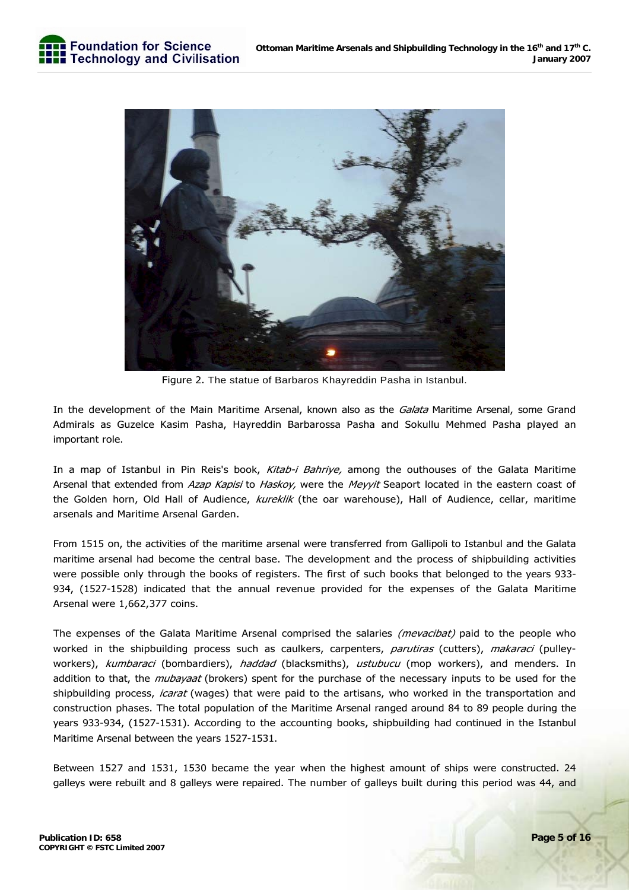

Figure 2. The statue of Barbaros Khayreddin Pasha in Istanbul.

In the development of the Main Maritime Arsenal, known also as the Galata Maritime Arsenal, some Grand Admirals as Guzelce Kasim Pasha, Hayreddin Barbarossa Pasha and Sokullu Mehmed Pasha played an important role.

In a map of Istanbul in Pin Reis's book, Kitab-i Bahriye, among the outhouses of the Galata Maritime Arsenal that extended from Azap Kapisi to Haskoy, were the Meyyit Seaport located in the eastern coast of the Golden horn, Old Hall of Audience, kureklik (the oar warehouse), Hall of Audience, cellar, maritime arsenals and Maritime Arsenal Garden.

From 1515 on, the activities of the maritime arsenal were transferred from Gallipoli to Istanbul and the Galata maritime arsenal had become the central base. The development and the process of shipbuilding activities were possible only through the books of registers. The first of such books that belonged to the years 933- 934, (1527-1528) indicated that the annual revenue provided for the expenses of the Galata Maritime Arsenal were 1,662,377 coins.

The expenses of the Galata Maritime Arsenal comprised the salaries *(mevacibat)* paid to the people who worked in the shipbuilding process such as caulkers, carpenters, *parutiras* (cutters), *makaraci* (pulleyworkers), kumbaraci (bombardiers), haddad (blacksmiths), ustubucu (mop workers), and menders. In addition to that, the *mubayaat* (brokers) spent for the purchase of the necessary inputs to be used for the shipbuilding process, *icarat* (wages) that were paid to the artisans, who worked in the transportation and construction phases. The total population of the Maritime Arsenal ranged around 84 to 89 people during the years 933-934, (1527-1531). According to the accounting books, shipbuilding had continued in the Istanbul Maritime Arsenal between the years 1527-1531.

Between 1527 and 1531, 1530 became the year when the highest amount of ships were constructed. 24 galleys were rebuilt and 8 galleys were repaired. The number of galleys built during this period was 44, and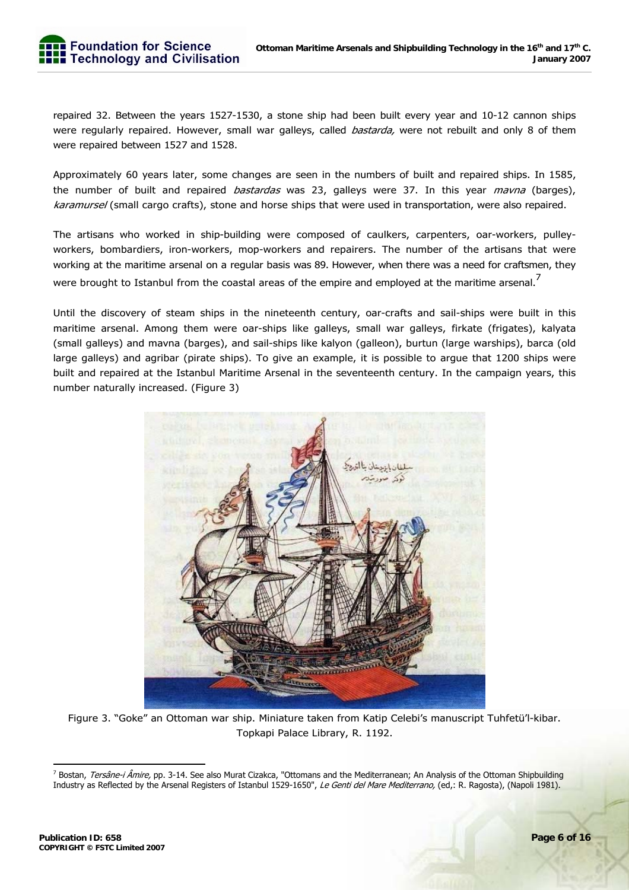repaired 32. Between the years 1527-1530, a stone ship had been built every year and 10-12 cannon ships were regularly repaired. However, small war galleys, called *bastarda*, were not rebuilt and only 8 of them were repaired between 1527 and 1528.

Approximately 60 years later, some changes are seen in the numbers of built and repaired ships. In 1585, the number of built and repaired *bastardas* was 23, galleys were 37. In this year *mavna* (barges), karamursel (small cargo crafts), stone and horse ships that were used in transportation, were also repaired.

The artisans who worked in ship-building were composed of caulkers, carpenters, oar-workers, pulleyworkers, bombardiers, iron-workers, mop-workers and repairers. The number of the artisans that were working at the maritime arsenal on a regular basis was 89. However, when there was a need for craftsmen, they were brought to Istanbul from the coastal areas of the empire and employed at the maritime arsenal.<sup>7</sup>

Until the discovery of steam ships in the nineteenth century, oar-crafts and sail-ships were built in this maritime arsenal. Among them were oar-ships like galleys, small war galleys, firkate (frigates), kalyata (small galleys) and mavna (barges), and sail-ships like kalyon (galleon), burtun (large warships), barca (old large galleys) and agribar (pirate ships). To give an example, it is possible to argue that 1200 ships were built and repaired at the Istanbul Maritime Arsenal in the seventeenth century. In the campaign years, this number naturally increased. (Figure 3)



Figure 3. "Goke" an Ottoman war ship. Miniature taken from Katip Celebi's manuscript Tuhfetü'l-kibar. Topkapi Palace Library, R. 1192.

<sup>&</sup>lt;sup>7</sup> Bostan, *Tersâne-i Âmire,* pp. 3-14. See also Murat Cizakca, "Ottomans and the Mediterranean; An Analysis of the Ottoman Shipbuilding Industry as Reflected by the Arsenal Registers of Istanbul 1529-1650", Le Genti del Mare Mediterrano, (ed,: R. Ragosta), (Napoli 1981).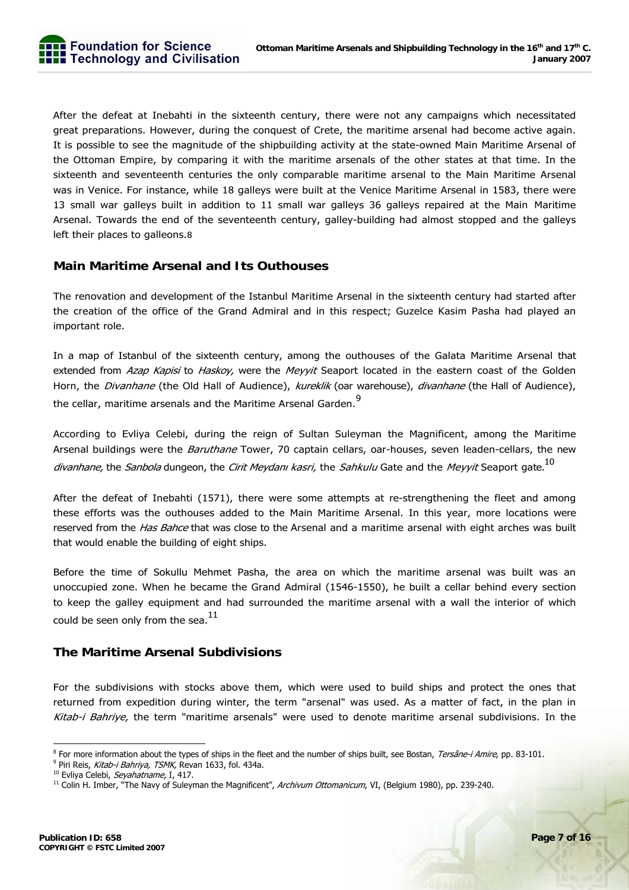

After the defeat at Inebahti in the sixteenth century, there were not any campaigns which necessitated great preparations. However, during the conquest of Crete, the maritime arsenal had become active again. It is possible to see the magnitude of the shipbuilding activity at the state-owned Main Maritime Arsenal of the Ottoman Empire, by comparing it with the maritime arsenals of the other states at that time. In the sixteenth and seventeenth centuries the only comparable maritime arsenal to the Main Maritime Arsenal was in Venice. For instance, while 18 galleys were built at the Venice Maritime Arsenal in 1583, there were 13 small war galleys built in addition to 11 small war galleys 36 galleys repaired at the Main Maritime Arsenal. Towards the end of the seventeenth century, galley-building had almost stopped and the galleys left their places to galleons.8

#### **Main Maritime Arsenal and Its Outhouses**

The renovation and development of the Istanbul Maritime Arsenal in the sixteenth century had started after the creation of the office of the Grand Admiral and in this respect; Guzelce Kasim Pasha had played an important role.

In a map of Istanbul of the sixteenth century, among the outhouses of the Galata Maritime Arsenal that extended from Azap Kapisi to Haskoy, were the Meyvit Seaport located in the eastern coast of the Golden Horn, the *Divanhane* (the Old Hall of Audience), kureklik (oar warehouse), divanhane (the Hall of Audience), the cellar, maritime arsenals and the Maritime Arsenal Garden.<sup>9</sup>

According to Evliya Celebi, during the reign of Sultan Suleyman the Magnificent, among the Maritime Arsenal buildings were the *Baruthane* Tower, 70 captain cellars, oar-houses, seven leaden-cellars, the new divanhane, the Sanbola dungeon, the Cirit Meydanı kasri, the Sahkulu Gate and the Meyyit Seaport gate.<sup>10</sup>

After the defeat of Inebahti (1571), there were some attempts at re-strengthening the fleet and among these efforts was the outhouses added to the Main Maritime Arsenal. In this year, more locations were reserved from the *Has Bahce* that was close to the Arsenal and a maritime arsenal with eight arches was built that would enable the building of eight ships.

Before the time of Sokullu Mehmet Pasha, the area on which the maritime arsenal was built was an unoccupied zone. When he became the Grand Admiral (1546-1550), he built a cellar behind every section to keep the galley equipment and had surrounded the maritime arsenal with a wall the interior of which could be seen only from the sea. $^{11}$ 

#### **The Maritime Arsenal Subdivisions**

For the subdivisions with stocks above them, which were used to build ships and protect the ones that returned from expedition during winter, the term "arsenal" was used. As a matter of fact, in the plan in Kitab-i Bahriye, the term "maritime arsenals" were used to denote maritime arsenal subdivisions. In the

 <sup>8</sup> For more information about the types of ships in the fleet and the number of ships built, see Bostan, *Tersâne-i Amire*, pp. 83-101.<br><sup>9 Diri Dejs Kitab i Babrius, TSMK Boyan 1633, fol. 434a</sup>

<sup>&</sup>lt;sup>9</sup> Piri Reis, *Kitab-i Bahriya, TSMK,* Revan 1633, fol. 434a.<br><sup>10</sup> Evliya Celebi, *Seyahatname,* I, 417.<br><sup>11</sup> Colin H. Imber, "The Navy of Suleyman the Magnificent", *Archivum Ottomanicum*, VI, (Belgium 1980), pp. 239-240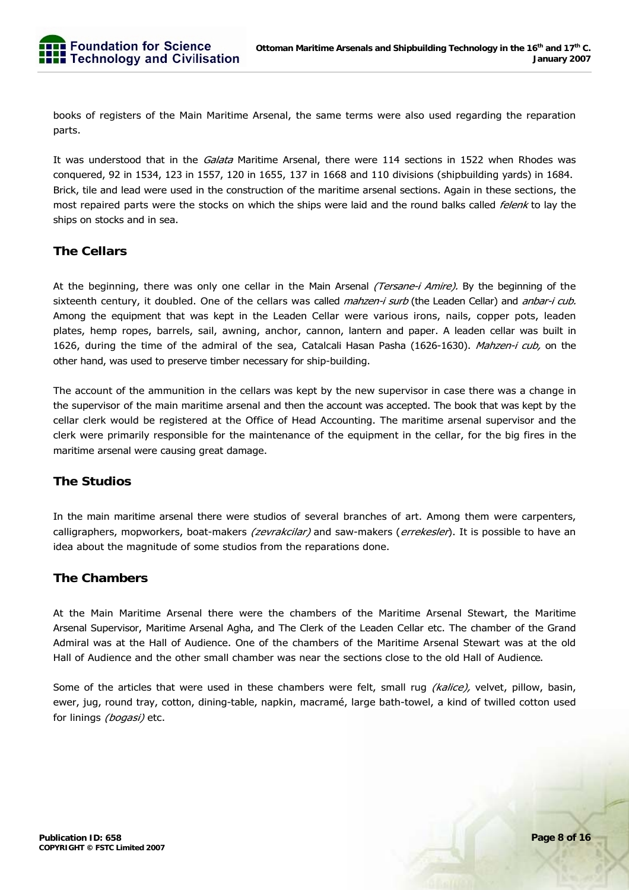books of registers of the Main Maritime Arsenal, the same terms were also used regarding the reparation parts.

It was understood that in the *Galata* Maritime Arsenal, there were 114 sections in 1522 when Rhodes was conquered, 92 in 1534, 123 in 1557, 120 in 1655, 137 in 1668 and 110 divisions (shipbuilding yards) in 1684. Brick, tile and lead were used in the construction of the maritime arsenal sections. Again in these sections, the most repaired parts were the stocks on which the ships were laid and the round balks called *felenk* to lay the ships on stocks and in sea.

#### **The Cellars**

At the beginning, there was only one cellar in the Main Arsenal (Tersane-i Amire). By the beginning of the sixteenth century, it doubled. One of the cellars was called *mahzen-i surb* (the Leaden Cellar) and *anbar-i cub.* Among the equipment that was kept in the Leaden Cellar were various irons, nails, copper pots, leaden plates, hemp ropes, barrels, sail, awning, anchor, cannon, lantern and paper. A leaden cellar was built in 1626, during the time of the admiral of the sea, Catalcali Hasan Pasha (1626-1630). Mahzen-i cub, on the other hand, was used to preserve timber necessary for ship-building.

The account of the ammunition in the cellars was kept by the new supervisor in case there was a change in the supervisor of the main maritime arsenal and then the account was accepted. The book that was kept by the cellar clerk would be registered at the Office of Head Accounting. The maritime arsenal supervisor and the clerk were primarily responsible for the maintenance of the equipment in the cellar, for the big fires in the maritime arsenal were causing great damage.

#### **The Studios**

In the main maritime arsenal there were studios of several branches of art. Among them were carpenters, calligraphers, mopworkers, boat-makers (zevrakcilar) and saw-makers (errekesler). It is possible to have an idea about the magnitude of some studios from the reparations done.

#### **The Chambers**

At the Main Maritime Arsenal there were the chambers of the Maritime Arsenal Stewart, the Maritime Arsenal Supervisor, Maritime Arsenal Agha, and The Clerk of the Leaden Cellar etc. The chamber of the Grand Admiral was at the Hall of Audience. One of the chambers of the Maritime Arsenal Stewart was at the old Hall of Audience and the other small chamber was near the sections close to the old Hall of Audience.

Some of the articles that were used in these chambers were felt, small rug (kalice), velvet, pillow, basin, ewer, jug, round tray, cotton, dining-table, napkin, macramé, large bath-towel, a kind of twilled cotton used for linings (bogasi) etc.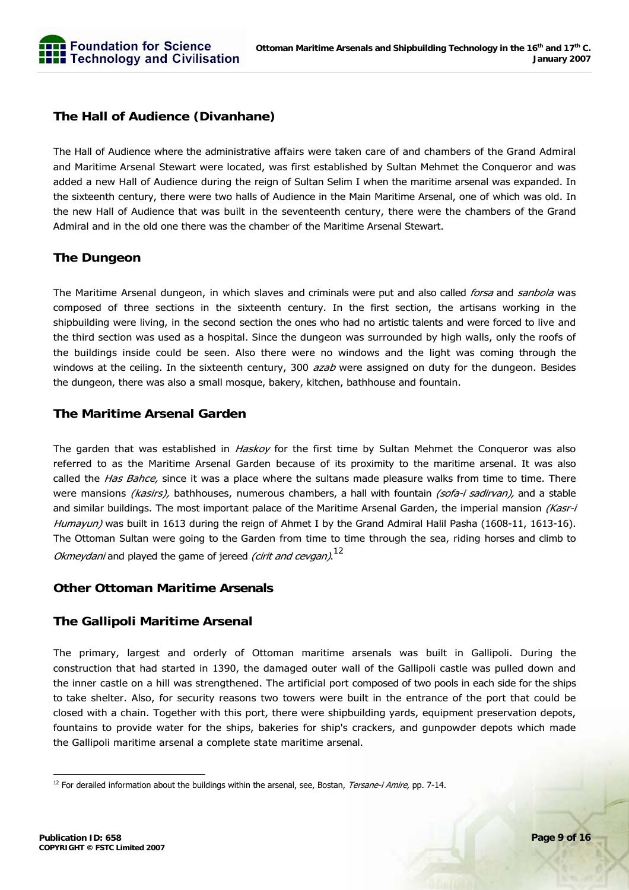#### **The Hall of Audience (Divanhane)**

The Hall of Audience where the administrative affairs were taken care of and chambers of the Grand Admiral and Maritime Arsenal Stewart were located, was first established by Sultan Mehmet the Conqueror and was added a new Hall of Audience during the reign of Sultan Selim I when the maritime arsenal was expanded. In the sixteenth century, there were two halls of Audience in the Main Maritime Arsenal, one of which was old. In the new Hall of Audience that was built in the seventeenth century, there were the chambers of the Grand Admiral and in the old one there was the chamber of the Maritime Arsenal Stewart.

#### **The Dungeon**

The Maritime Arsenal dungeon, in which slaves and criminals were put and also called *forsa* and sanbola was composed of three sections in the sixteenth century. In the first section, the artisans working in the shipbuilding were living, in the second section the ones who had no artistic talents and were forced to live and the third section was used as a hospital. Since the dungeon was surrounded by high walls, only the roofs of the buildings inside could be seen. Also there were no windows and the light was coming through the windows at the ceiling. In the sixteenth century, 300 azab were assigned on duty for the dungeon. Besides the dungeon, there was also a small mosque, bakery, kitchen, bathhouse and fountain.

#### **The Maritime Arsenal Garden**

The garden that was established in Haskoy for the first time by Sultan Mehmet the Conqueror was also referred to as the Maritime Arsenal Garden because of its proximity to the maritime arsenal. It was also called the Has Bahce, since it was a place where the sultans made pleasure walks from time to time. There were mansions (kasirs), bathhouses, numerous chambers, a hall with fountain (sofa-i sadirvan), and a stable and similar buildings. The most important palace of the Maritime Arsenal Garden, the imperial mansion (Kasr-i Humayun) was built in 1613 during the reign of Ahmet I by the Grand Admiral Halil Pasha (1608-11, 1613-16). The Ottoman Sultan were going to the Garden from time to time through the sea, riding horses and climb to Okmeydani and played the game of jereed (cirit and cevgan).<sup>12</sup>

#### **Other Ottoman Maritime Arsenals**

#### **The Gallipoli Maritime Arsenal**

The primary, largest and orderly of Ottoman maritime arsenals was built in Gallipoli. During the construction that had started in 1390, the damaged outer wall of the Gallipoli castle was pulled down and the inner castle on a hill was strengthened. The artificial port composed of two pools in each side for the ships to take shelter. Also, for security reasons two towers were built in the entrance of the port that could be closed with a chain. Together with this port, there were shipbuilding yards, equipment preservation depots, fountains to provide water for the ships, bakeries for ship's crackers, and gunpowder depots which made the Gallipoli maritime arsenal a complete state maritime arsenal.

<sup>&</sup>lt;sup>12</sup> For derailed information about the buildings within the arsenal, see, Bostan, Tersane-i Amire, pp. 7-14.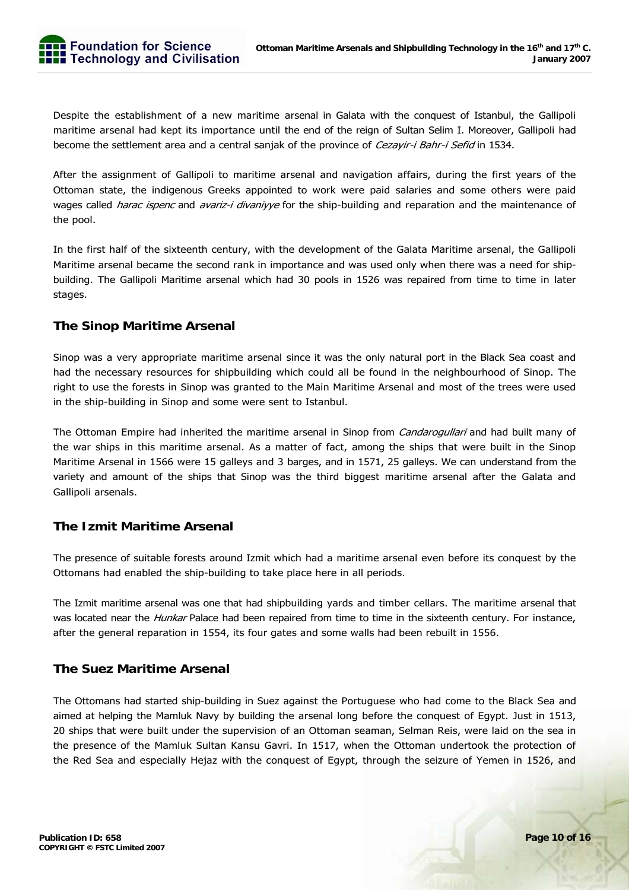Despite the establishment of a new maritime arsenal in Galata with the conquest of Istanbul, the Gallipoli maritime arsenal had kept its importance until the end of the reign of Sultan Selim I. Moreover, Gallipoli had become the settlement area and a central sanjak of the province of Cezayir-i Bahr-i Sefid in 1534.

After the assignment of Gallipoli to maritime arsenal and navigation affairs, during the first years of the Ottoman state, the indigenous Greeks appointed to work were paid salaries and some others were paid wages called *harac ispenc* and *avariz-i divaniyye* for the ship-building and reparation and the maintenance of the pool.

In the first half of the sixteenth century, with the development of the Galata Maritime arsenal, the Gallipoli Maritime arsenal became the second rank in importance and was used only when there was a need for shipbuilding. The Gallipoli Maritime arsenal which had 30 pools in 1526 was repaired from time to time in later stages.

#### **The Sinop Maritime Arsenal**

**E** Foundation for Science **F** Technology and Civilisation

Sinop was a very appropriate maritime arsenal since it was the only natural port in the Black Sea coast and had the necessary resources for shipbuilding which could all be found in the neighbourhood of Sinop. The right to use the forests in Sinop was granted to the Main Maritime Arsenal and most of the trees were used in the ship-building in Sinop and some were sent to Istanbul.

The Ottoman Empire had inherited the maritime arsenal in Sinop from *Candarogullari* and had built many of the war ships in this maritime arsenal. As a matter of fact, among the ships that were built in the Sinop Maritime Arsenal in 1566 were 15 galleys and 3 barges, and in 1571, 25 galleys. We can understand from the variety and amount of the ships that Sinop was the third biggest maritime arsenal after the Galata and Gallipoli arsenals.

#### **The Izmit Maritime Arsenal**

The presence of suitable forests around Izmit which had a maritime arsenal even before its conquest by the Ottomans had enabled the ship-building to take place here in all periods.

The Izmit maritime arsenal was one that had shipbuilding yards and timber cellars. The maritime arsenal that was located near the Hunkar Palace had been repaired from time to time in the sixteenth century. For instance, after the general reparation in 1554, its four gates and some walls had been rebuilt in 1556.

#### **The Suez Maritime Arsenal**

The Ottomans had started ship-building in Suez against the Portuguese who had come to the Black Sea and aimed at helping the Mamluk Navy by building the arsenal long before the conquest of Egypt. Just in 1513, 20 ships that were built under the supervision of an Ottoman seaman, Selman Reis, were laid on the sea in the presence of the Mamluk Sultan Kansu Gavri. In 1517, when the Ottoman undertook the protection of the Red Sea and especially Hejaz with the conquest of Egypt, through the seizure of Yemen in 1526, and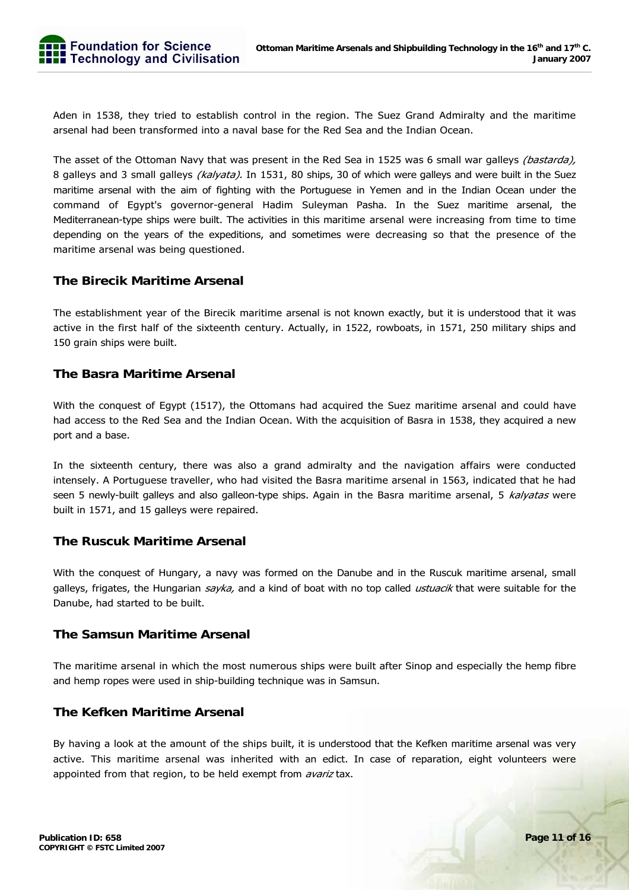

Aden in 1538, they tried to establish control in the region. The Suez Grand Admiralty and the maritime arsenal had been transformed into a naval base for the Red Sea and the Indian Ocean.

The asset of the Ottoman Navy that was present in the Red Sea in 1525 was 6 small war galleys *(bastarda)*, 8 galleys and 3 small galleys (kalyata). In 1531, 80 ships, 30 of which were galleys and were built in the Suez maritime arsenal with the aim of fighting with the Portuguese in Yemen and in the Indian Ocean under the command of Egypt's governor-general Hadim Suleyman Pasha. In the Suez maritime arsenal, the Mediterranean-type ships were built. The activities in this maritime arsenal were increasing from time to time depending on the years of the expeditions, and sometimes were decreasing so that the presence of the maritime arsenal was being questioned.

#### **The Birecik Maritime Arsenal**

The establishment year of the Birecik maritime arsenal is not known exactly, but it is understood that it was active in the first half of the sixteenth century. Actually, in 1522, rowboats, in 1571, 250 military ships and 150 grain ships were built.

#### **The Basra Maritime Arsenal**

With the conquest of Egypt (1517), the Ottomans had acquired the Suez maritime arsenal and could have had access to the Red Sea and the Indian Ocean. With the acquisition of Basra in 1538, they acquired a new port and a base.

In the sixteenth century, there was also a grand admiralty and the navigation affairs were conducted intensely. A Portuguese traveller, who had visited the Basra maritime arsenal in 1563, indicated that he had seen 5 newly-built galleys and also galleon-type ships. Again in the Basra maritime arsenal, 5 kalyatas were built in 1571, and 15 galleys were repaired.

#### **The Ruscuk Maritime Arsenal**

With the conquest of Hungary, a navy was formed on the Danube and in the Ruscuk maritime arsenal, small galleys, frigates, the Hungarian sayka, and a kind of boat with no top called ustuacik that were suitable for the Danube, had started to be built.

#### **The Samsun Maritime Arsenal**

The maritime arsenal in which the most numerous ships were built after Sinop and especially the hemp fibre and hemp ropes were used in ship-building technique was in Samsun.

#### **The Kefken Maritime Arsenal**

By having a look at the amount of the ships built, it is understood that the Kefken maritime arsenal was very active. This maritime arsenal was inherited with an edict. In case of reparation, eight volunteers were appointed from that region, to be held exempt from *avariz* tax.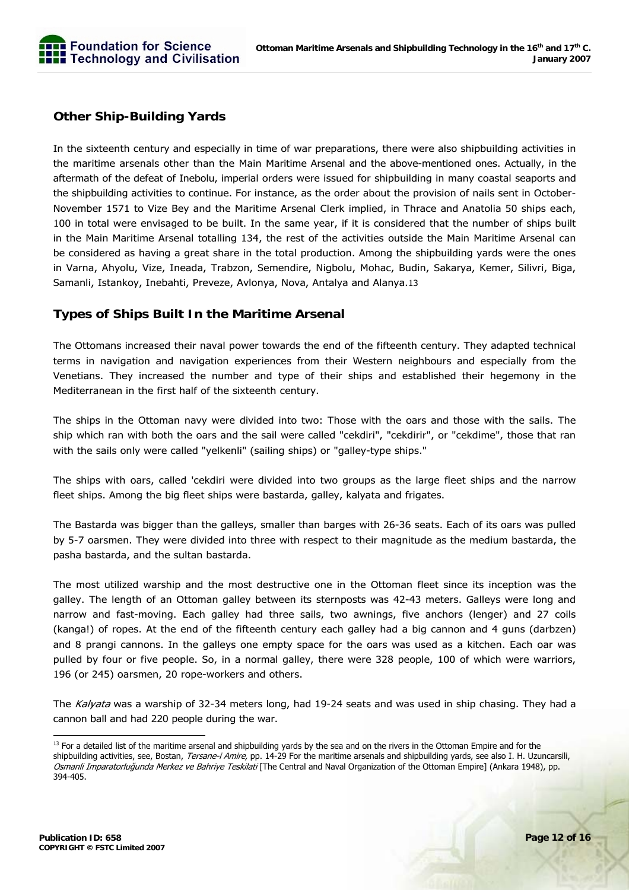#### **Other Ship-Building Yards**

In the sixteenth century and especially in time of war preparations, there were also shipbuilding activities in the maritime arsenals other than the Main Maritime Arsenal and the above-mentioned ones. Actually, in the aftermath of the defeat of Inebolu, imperial orders were issued for shipbuilding in many coastal seaports and the shipbuilding activities to continue. For instance, as the order about the provision of nails sent in October-November 1571 to Vize Bey and the Maritime Arsenal Clerk implied, in Thrace and Anatolia 50 ships each, 100 in total were envisaged to be built. In the same year, if it is considered that the number of ships built in the Main Maritime Arsenal totalling 134, the rest of the activities outside the Main Maritime Arsenal can be considered as having a great share in the total production. Among the shipbuilding yards were the ones in Varna, Ahyolu, Vize, Ineada, Trabzon, Semendire, Nigbolu, Mohac, Budin, Sakarya, Kemer, Silivri, Biga, Samanli, Istankoy, Inebahti, Preveze, Avlonya, Nova, Antalya and Alanya.13

#### **Types of Ships Built In the Maritime Arsenal**

The Ottomans increased their naval power towards the end of the fifteenth century. They adapted technical terms in navigation and navigation experiences from their Western neighbours and especially from the Venetians. They increased the number and type of their ships and established their hegemony in the Mediterranean in the first half of the sixteenth century.

The ships in the Ottoman navy were divided into two: Those with the oars and those with the sails. The ship which ran with both the oars and the sail were called "cekdiri", "cekdirir", or "cekdime", those that ran with the sails only were called "yelkenli" (sailing ships) or "galley-type ships."

The ships with oars, called 'cekdiri were divided into two groups as the large fleet ships and the narrow fleet ships. Among the big fleet ships were bastarda, galley, kalyata and frigates.

The Bastarda was bigger than the galleys, smaller than barges with 26-36 seats. Each of its oars was pulled by 5-7 oarsmen. They were divided into three with respect to their magnitude as the medium bastarda, the pasha bastarda, and the sultan bastarda.

The most utilized warship and the most destructive one in the Ottoman fleet since its inception was the galley. The length of an Ottoman galley between its sternposts was 42-43 meters. Galleys were long and narrow and fast-moving. Each galley had three sails, two awnings, five anchors (lenger) and 27 coils (kanga!) of ropes. At the end of the fifteenth century each galley had a big cannon and 4 guns (darbzen) and 8 prangi cannons. In the galleys one empty space for the oars was used as a kitchen. Each oar was pulled by four or five people. So, in a normal galley, there were 328 people, 100 of which were warriors, 196 (or 245) oarsmen, 20 rope-workers and others.

The Kalyata was a warship of 32-34 meters long, had 19-24 seats and was used in ship chasing. They had a cannon ball and had 220 people during the war.

<sup>&</sup>lt;sup>13</sup> For a detailed list of the maritime arsenal and shipbuilding yards by the sea and on the rivers in the Ottoman Empire and for the shipbuilding activities, see, Bostan, Tersane-i Amire, pp. 14-29 For the maritime arsenals and shipbuilding yards, see also I. H. Uzuncarsili, Osmanli Imparatorluğunda Merkez ve Bahriye Teskilati [The Central and Naval Organization of the Ottoman Empire] (Ankara 1948), pp. 394-405.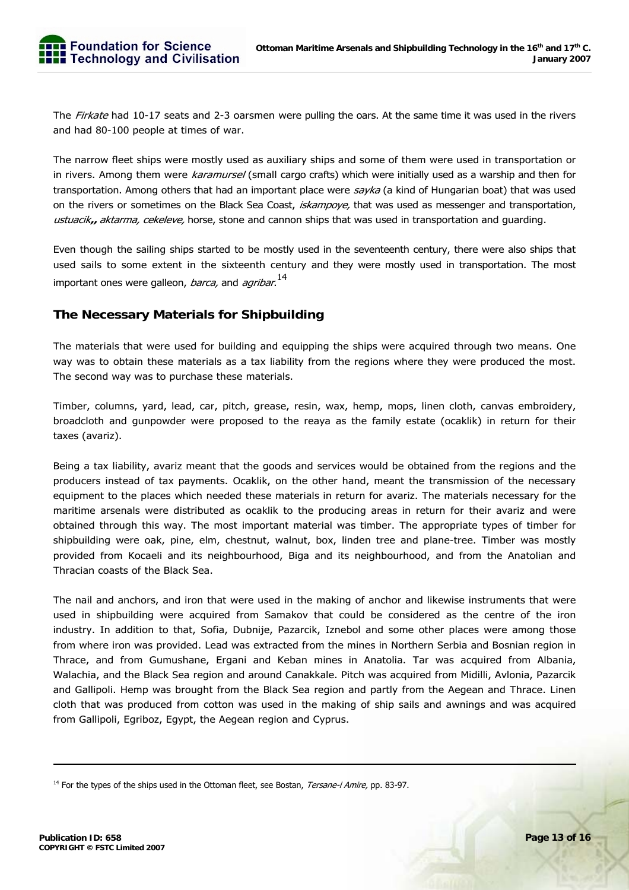

The Firkate had 10-17 seats and 2-3 oarsmen were pulling the oars. At the same time it was used in the rivers and had 80-100 people at times of war.

The narrow fleet ships were mostly used as auxiliary ships and some of them were used in transportation or in rivers. Among them were karamursel (small cargo crafts) which were initially used as a warship and then for transportation. Among others that had an important place were sayka (a kind of Hungarian boat) that was used on the rivers or sometimes on the Black Sea Coast, iskampoye, that was used as messenger and transportation, ustuacik,, aktarma, cekeleve, horse, stone and cannon ships that was used in transportation and quarding.

Even though the sailing ships started to be mostly used in the seventeenth century, there were also ships that used sails to some extent in the sixteenth century and they were mostly used in transportation. The most important ones were galleon, *barca,* and *agribar*.<sup>14</sup>

#### **The Necessary Materials for Shipbuilding**

The materials that were used for building and equipping the ships were acquired through two means. One way was to obtain these materials as a tax liability from the regions where they were produced the most. The second way was to purchase these materials.

Timber, columns, yard, lead, car, pitch, grease, resin, wax, hemp, mops, linen cloth, canvas embroidery, broadcloth and gunpowder were proposed to the reaya as the family estate (ocaklik) in return for their taxes (avariz).

Being a tax liability, avariz meant that the goods and services would be obtained from the regions and the producers instead of tax payments. Ocaklik, on the other hand, meant the transmission of the necessary equipment to the places which needed these materials in return for avariz. The materials necessary for the maritime arsenals were distributed as ocaklik to the producing areas in return for their avariz and were obtained through this way. The most important material was timber. The appropriate types of timber for shipbuilding were oak, pine, elm, chestnut, walnut, box, linden tree and plane-tree. Timber was mostly provided from Kocaeli and its neighbourhood, Biga and its neighbourhood, and from the Anatolian and Thracian coasts of the Black Sea.

The nail and anchors, and iron that were used in the making of anchor and likewise instruments that were used in shipbuilding were acquired from Samakov that could be considered as the centre of the iron industry. In addition to that, Sofia, Dubnije, Pazarcik, Iznebol and some other places were among those from where iron was provided. Lead was extracted from the mines in Northern Serbia and Bosnian region in Thrace, and from Gumushane, Ergani and Keban mines in Anatolia. Tar was acquired from Albania, Walachia, and the Black Sea region and around Canakkale. Pitch was acquired from Midilli, Avlonia, Pazarcik and Gallipoli. Hemp was brought from the Black Sea region and partly from the Aegean and Thrace. Linen cloth that was produced from cotton was used in the making of ship sails and awnings and was acquired from Gallipoli, Egriboz, Egypt, the Aegean region and Cyprus.

<sup>&</sup>lt;sup>14</sup> For the types of the ships used in the Ottoman fleet, see Bostan, *Tersane-i Amire*, pp. 83-97.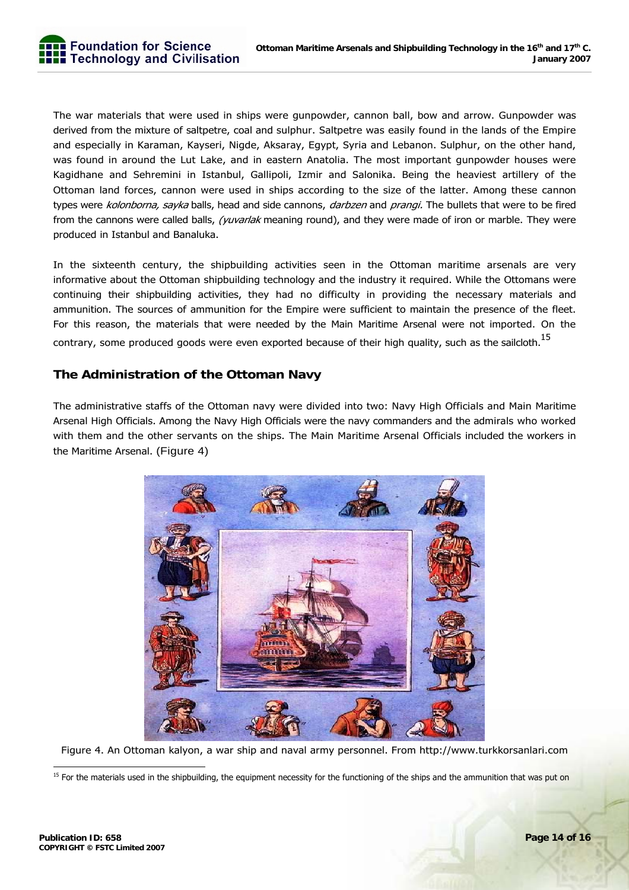

The war materials that were used in ships were gunpowder, cannon ball, bow and arrow. Gunpowder was derived from the mixture of saltpetre, coal and sulphur. Saltpetre was easily found in the lands of the Empire and especially in Karaman, Kayseri, Nigde, Aksaray, Egypt, Syria and Lebanon. Sulphur, on the other hand, was found in around the Lut Lake, and in eastern Anatolia. The most important gunpowder houses were Kagidhane and Sehremini in Istanbul, Gallipoli, Izmir and Salonika. Being the heaviest artillery of the Ottoman land forces, cannon were used in ships according to the size of the latter. Among these cannon types were kolonborna, sayka balls, head and side cannons, darbzen and prangi. The bullets that were to be fired from the cannons were called balls, (yuvarlak meaning round), and they were made of iron or marble. They were produced in Istanbul and Banaluka.

In the sixteenth century, the shipbuilding activities seen in the Ottoman maritime arsenals are very informative about the Ottoman shipbuilding technology and the industry it required. While the Ottomans were continuing their shipbuilding activities, they had no difficulty in providing the necessary materials and ammunition. The sources of ammunition for the Empire were sufficient to maintain the presence of the fleet. For this reason, the materials that were needed by the Main Maritime Arsenal were not imported. On the contrary, some produced goods were even exported because of their high quality, such as the sailcloth.<sup>15</sup>

#### **The Administration of the Ottoman Navy**

The administrative staffs of the Ottoman navy were divided into two: Navy High Officials and Main Maritime Arsenal High Officials. Among the Navy High Officials were the navy commanders and the admirals who worked with them and the other servants on the ships. The Main Maritime Arsenal Officials included the workers in the Maritime Arsenal. (Figure 4)



Figure 4. An Ottoman kalyon, a war ship and naval army personnel. From http://www.turkkorsanlari.com

<sup>&</sup>lt;sup>15</sup> For the materials used in the shipbuilding, the equipment necessity for the functioning of the ships and the ammunition that was put on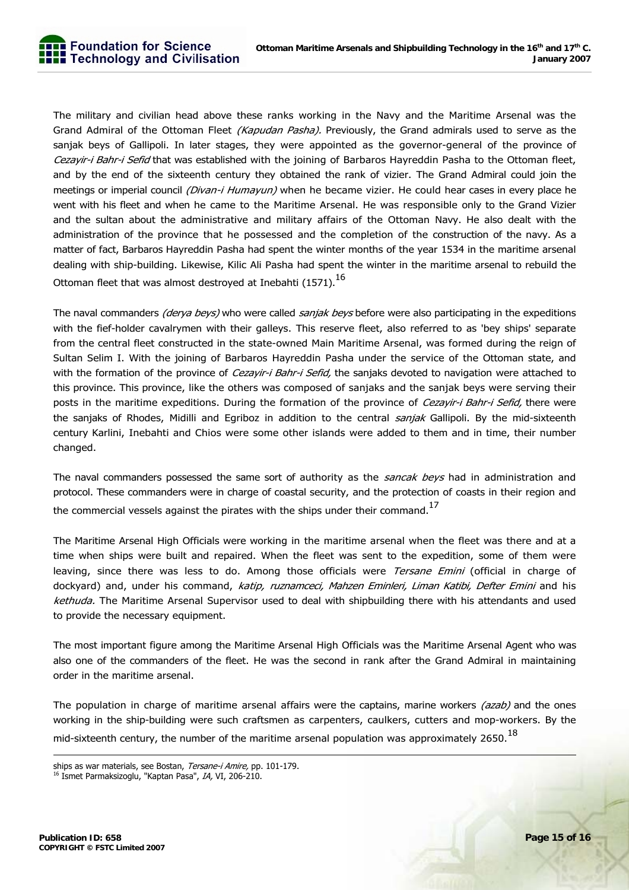The military and civilian head above these ranks working in the Navy and the Maritime Arsenal was the Grand Admiral of the Ottoman Fleet (Kapudan Pasha). Previously, the Grand admirals used to serve as the sanjak beys of Gallipoli. In later stages, they were appointed as the governor-general of the province of Cezayir-i Bahr-i Sefid that was established with the joining of Barbaros Hayreddin Pasha to the Ottoman fleet, and by the end of the sixteenth century they obtained the rank of vizier. The Grand Admiral could join the meetings or imperial council (Divan-i Humayun) when he became vizier. He could hear cases in every place he went with his fleet and when he came to the Maritime Arsenal. He was responsible only to the Grand Vizier and the sultan about the administrative and military affairs of the Ottoman Navy. He also dealt with the administration of the province that he possessed and the completion of the construction of the navy. As a matter of fact, Barbaros Hayreddin Pasha had spent the winter months of the year 1534 in the maritime arsenal dealing with ship-building. Likewise, Kilic Ali Pasha had spent the winter in the maritime arsenal to rebuild the Ottoman fleet that was almost destroyed at Inebahti (1571).<sup>16</sup>

The naval commanders (derya beys) who were called sanjak beys before were also participating in the expeditions with the fief-holder cavalrymen with their galleys. This reserve fleet, also referred to as 'bey ships' separate from the central fleet constructed in the state-owned Main Maritime Arsenal, was formed during the reign of Sultan Selim I. With the joining of Barbaros Hayreddin Pasha under the service of the Ottoman state, and with the formation of the province of Cezayir-i Bahr-i Sefid, the sanjaks devoted to navigation were attached to this province. This province, like the others was composed of sanjaks and the sanjak beys were serving their posts in the maritime expeditions. During the formation of the province of Cezayir-i Bahr-i Sefid, there were the sanjaks of Rhodes, Midilli and Egriboz in addition to the central *sanjak* Gallipoli. By the mid-sixteenth century Karlini, Inebahti and Chios were some other islands were added to them and in time, their number changed.

The naval commanders possessed the same sort of authority as the *sancak beys* had in administration and protocol. These commanders were in charge of coastal security, and the protection of coasts in their region and the commercial vessels against the pirates with the ships under their command.<sup>17</sup>

The Maritime Arsenal High Officials were working in the maritime arsenal when the fleet was there and at a time when ships were built and repaired. When the fleet was sent to the expedition, some of them were leaving, since there was less to do. Among those officials were Tersane Emini (official in charge of dockyard) and, under his command, katip, ruznamceci, Mahzen Eminleri, Liman Katibi, Defter Emini and his kethuda. The Maritime Arsenal Supervisor used to deal with shipbuilding there with his attendants and used to provide the necessary equipment.

The most important figure among the Maritime Arsenal High Officials was the Maritime Arsenal Agent who was also one of the commanders of the fleet. He was the second in rank after the Grand Admiral in maintaining order in the maritime arsenal.

The population in charge of maritime arsenal affairs were the captains, marine workers ( $azab$ ) and the ones working in the ship-building were such craftsmen as carpenters, caulkers, cutters and mop-workers. By the mid-sixteenth century, the number of the maritime arsenal population was approximately 2650.<sup>18</sup>

Foundation for Science **ELL** Technology and Civilisation

ships as war materials, see Bostan, Tersane-i Amire, pp. 101-179.<br><sup>16</sup> Ismet Parmaksizoglu, "Kaptan Pasa", IA, VI, 206-210.